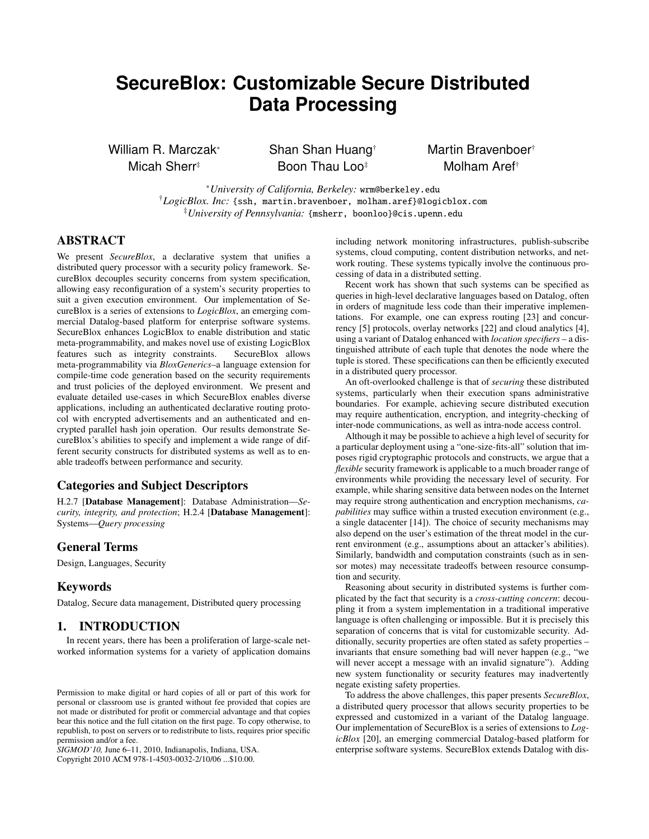# **SecureBlox: Customizable Secure Distributed Data Processing**

William R. Marczak<sup>∗</sup> Shan Shan Huang† Martin Bravenboer† Micah Sherr<sup>‡</sup> Boon Thau Loo<sup>‡</sup> Molham Aref<sup>†</sup>

<sup>∗</sup>*University of California, Berkeley:* wrm@berkeley.edu †*LogicBlox. Inc:* {ssh, martin.bravenboer, molham.aref}@logicblox.com ‡*University of Pennsylvania:* {msherr, boonloo}@cis.upenn.edu

# ABSTRACT

We present *SecureBlox*, a declarative system that unifies a distributed query processor with a security policy framework. SecureBlox decouples security concerns from system specification, allowing easy reconfiguration of a system's security properties to suit a given execution environment. Our implementation of SecureBlox is a series of extensions to *LogicBlox*, an emerging commercial Datalog-based platform for enterprise software systems. SecureBlox enhances LogicBlox to enable distribution and static meta-programmability, and makes novel use of existing LogicBlox features such as integrity constraints. SecureBlox allows meta-programmability via *BloxGenerics*–a language extension for compile-time code generation based on the security requirements and trust policies of the deployed environment. We present and evaluate detailed use-cases in which SecureBlox enables diverse applications, including an authenticated declarative routing protocol with encrypted advertisements and an authenticated and encrypted parallel hash join operation. Our results demonstrate SecureBlox's abilities to specify and implement a wide range of different security constructs for distributed systems as well as to enable tradeoffs between performance and security.

## Categories and Subject Descriptors

H.2.7 [Database Management]: Database Administration—*Security, integrity, and protection*; H.2.4 [Database Management]: Systems—*Query processing*

# General Terms

Design, Languages, Security

## Keywords

Datalog, Secure data management, Distributed query processing

# 1. INTRODUCTION

In recent years, there has been a proliferation of large-scale networked information systems for a variety of application domains

*SIGMOD'10,* June 6–11, 2010, Indianapolis, Indiana, USA.

Copyright 2010 ACM 978-1-4503-0032-2/10/06 ...\$10.00.

including network monitoring infrastructures, publish-subscribe systems, cloud computing, content distribution networks, and network routing. These systems typically involve the continuous processing of data in a distributed setting.

Recent work has shown that such systems can be specified as queries in high-level declarative languages based on Datalog, often in orders of magnitude less code than their imperative implementations. For example, one can express routing [23] and concurrency [5] protocols, overlay networks [22] and cloud analytics [4], using a variant of Datalog enhanced with *location specifiers* – a distinguished attribute of each tuple that denotes the node where the tuple is stored. These specifications can then be efficiently executed in a distributed query processor.

An oft-overlooked challenge is that of *securing* these distributed systems, particularly when their execution spans administrative boundaries. For example, achieving secure distributed execution may require authentication, encryption, and integrity-checking of inter-node communications, as well as intra-node access control.

Although it may be possible to achieve a high level of security for a particular deployment using a "one-size-fits-all" solution that imposes rigid cryptographic protocols and constructs, we argue that a *flexible* security framework is applicable to a much broader range of environments while providing the necessary level of security. For example, while sharing sensitive data between nodes on the Internet may require strong authentication and encryption mechanisms, *capabilities* may suffice within a trusted execution environment (e.g., a single datacenter [14]). The choice of security mechanisms may also depend on the user's estimation of the threat model in the current environment (e.g., assumptions about an attacker's abilities). Similarly, bandwidth and computation constraints (such as in sensor motes) may necessitate tradeoffs between resource consumption and security.

Reasoning about security in distributed systems is further complicated by the fact that security is a *cross-cutting concern*: decoupling it from a system implementation in a traditional imperative language is often challenging or impossible. But it is precisely this separation of concerns that is vital for customizable security. Additionally, security properties are often stated as safety properties – invariants that ensure something bad will never happen (e.g., "we will never accept a message with an invalid signature"). Adding new system functionality or security features may inadvertently negate existing safety properties.

To address the above challenges, this paper presents *SecureBlox*, a distributed query processor that allows security properties to be expressed and customized in a variant of the Datalog language. Our implementation of SecureBlox is a series of extensions to *LogicBlox* [20], an emerging commercial Datalog-based platform for enterprise software systems. SecureBlox extends Datalog with dis-

Permission to make digital or hard copies of all or part of this work for personal or classroom use is granted without fee provided that copies are not made or distributed for profit or commercial advantage and that copies bear this notice and the full citation on the first page. To copy otherwise, to republish, to post on servers or to redistribute to lists, requires prior specific permission and/or a fee.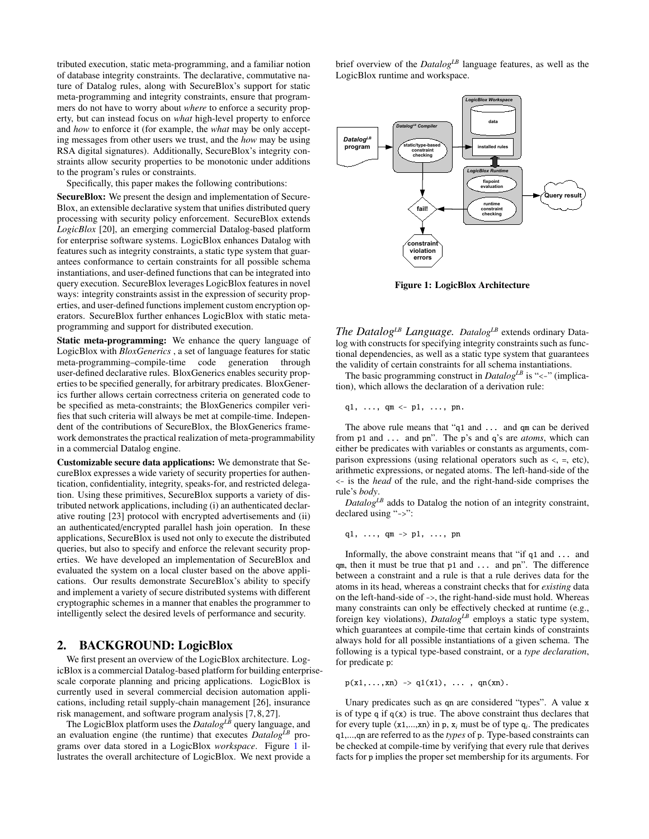tributed execution, static meta-programming, and a familiar notion of database integrity constraints. The declarative, commutative nature of Datalog rules, along with SecureBlox's support for static meta-programming and integrity constraints, ensure that programmers do not have to worry about *where* to enforce a security property, but can instead focus on *what* high-level property to enforce and *how* to enforce it (for example, the *what* may be only accepting messages from other users we trust, and the *how* may be using RSA digital signatures). Additionally, SecureBlox's integrity constraints allow security properties to be monotonic under additions to the program's rules or constraints.

Specifically, this paper makes the following contributions:

SecureBlox: We present the design and implementation of Secure-Blox, an extensible declarative system that unifies distributed query processing with security policy enforcement. SecureBlox extends *LogicBlox* [20], an emerging commercial Datalog-based platform for enterprise software systems. LogicBlox enhances Datalog with features such as integrity constraints, a static type system that guarantees conformance to certain constraints for all possible schema instantiations, and user-defined functions that can be integrated into query execution. SecureBlox leverages LogicBlox features in novel ways: integrity constraints assist in the expression of security properties, and user-defined functions implement custom encryption operators. SecureBlox further enhances LogicBlox with static metaprogramming and support for distributed execution.

Static meta-programming: We enhance the query language of LogicBlox with *BloxGenerics* , a set of language features for static meta-programming–compile-time code generation through user-defined declarative rules. BloxGenerics enables security properties to be specified generally, for arbitrary predicates. BloxGenerics further allows certain correctness criteria on generated code to be specified as meta-constraints; the BloxGenerics compiler verifies that such criteria will always be met at compile-time. Independent of the contributions of SecureBlox, the BloxGenerics framework demonstrates the practical realization of meta-programmability in a commercial Datalog engine.

Customizable secure data applications: We demonstrate that SecureBlox expresses a wide variety of security properties for authentication, confidentiality, integrity, speaks-for, and restricted delegation. Using these primitives, SecureBlox supports a variety of distributed network applications, including (i) an authenticated declarative routing [23] protocol with encrypted advertisements and (ii) an authenticated/encrypted parallel hash join operation. In these applications, SecureBlox is used not only to execute the distributed queries, but also to specify and enforce the relevant security properties. We have developed an implementation of SecureBlox and evaluated the system on a local cluster based on the above applications. Our results demonstrate SecureBlox's ability to specify and implement a variety of secure distributed systems with different cryptographic schemes in a manner that enables the programmer to intelligently select the desired levels of performance and security.

## 2. BACKGROUND: LogicBlox

We first present an overview of the LogicBlox architecture. LogicBlox is a commercial Datalog-based platform for building enterprisescale corporate planning and pricing applications. LogicBlox is currently used in several commercial decision automation applications, including retail supply-chain management [26], insurance risk management, and software program analysis [7, 8, 27].

The LogicBlox platform uses the *DatalogLB* query language, and an evaluation engine (the runtime) that executes *DatalogLB* programs over data stored in a LogicBlox *workspace*. Figure [1](#page-1-0) illustrates the overall architecture of LogicBlox. We next provide a brief overview of the *DatalogLB* language features, as well as the LogicBlox runtime and workspace.



<span id="page-1-0"></span>Figure 1: LogicBlox Architecture

*The DatalogLB Language. DatalogLB* extends ordinary Datalog with constructs for specifying integrity constraints such as functional dependencies, as well as a static type system that guarantees the validity of certain constraints for all schema instantiations.

The basic programming construct in *Datalog*<sup>LB</sup> is "<-" (implication), which allows the declaration of a derivation rule:

q1, ...,  $qm \leq p1$ , ..., pn.

The above rule means that "q1 and ... and qm can be derived from p1 and ... and pn". The p's and q's are *atoms*, which can either be predicates with variables or constants as arguments, comparison expressions (using relational operators such as <, =, etc), arithmetic expressions, or negated atoms. The left-hand-side of the <- is the *head* of the rule, and the right-hand-side comprises the rule's *body*.

 $Datalog^{LB}$  adds to Datalog the notion of an integrity constraint, declared using "->":

$$
q1, \ldots, qm \Rightarrow p1, \ldots, pn
$$

Informally, the above constraint means that "if q1 and ... and qm, then it must be true that p1 and ... and pn". The difference between a constraint and a rule is that a rule derives data for the atoms in its head, whereas a constraint checks that for *existing* data on the left-hand-side of ->, the right-hand-side must hold. Whereas many constraints can only be effectively checked at runtime (e.g., foreign key violations), *DatalogLB* employs a static type system, which guarantees at compile-time that certain kinds of constraints always hold for all possible instantiations of a given schema. The following is a typical type-based constraint, or a *type declaration*, for predicate p:

 $p(x1,...,xn) \rightarrow q1(x1), ... , qn(xn)$ .

Unary predicates such as qn are considered "types". A value x is of type q if  $q(x)$  is true. The above constraint thus declares that for every tuple  $\langle x1, \ldots, xn \rangle$  in p,  $x_i$  must be of type  $q_i$ . The predicates q1,...,qn are referred to as the *types* of p. Type-based constraints can be checked at compile-time by verifying that every rule that derives facts for p implies the proper set membership for its arguments. For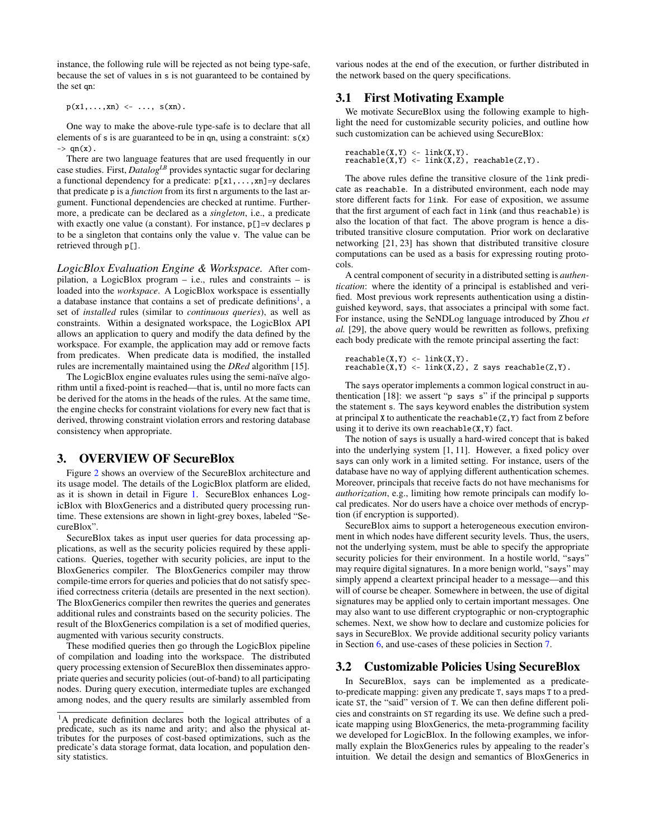instance, the following rule will be rejected as not being type-safe, because the set of values in s is not guaranteed to be contained by the set qn:

```
p(x1,...,xn) \leq ..., s(xn).
```
One way to make the above-rule type-safe is to declare that all elements of s is are guaranteed to be in qn, using a constraint:  $s(x)$  $\Rightarrow$  qn(x).

There are two language features that are used frequently in our case studies. First, *DatalogLB* provides syntactic sugar for declaring a functional dependency for a predicate:  $p[x1,...,xn]=y$  declares that predicate p is a *function* from its first n arguments to the last argument. Functional dependencies are checked at runtime. Furthermore, a predicate can be declared as a *singleton*, i.e., a predicate with exactly one value (a constant). For instance,  $p[]=v$  declares p to be a singleton that contains only the value v. The value can be retrieved through p[].

*LogicBlox Evaluation Engine & Workspace.* After compilation, a LogicBlox program – i.e., rules and constraints – is loaded into the *workspace*. A LogicBlox workspace is essentially a database instance that contains a set of predicate definitions<sup>[1](#page-2-0)</sup>, a set of *installed* rules (similar to *continuous queries*), as well as constraints. Within a designated workspace, the LogicBlox API allows an application to query and modify the data defined by the workspace. For example, the application may add or remove facts from predicates. When predicate data is modified, the installed rules are incrementally maintained using the *DRed* algorithm [15].

The LogicBlox engine evaluates rules using the semi-naïve algorithm until a fixed-point is reached—that is, until no more facts can be derived for the atoms in the heads of the rules. At the same time, the engine checks for constraint violations for every new fact that is derived, throwing constraint violation errors and restoring database consistency when appropriate.

## <span id="page-2-1"></span>3. OVERVIEW OF SecureBlox

Figure [2](#page-3-0) shows an overview of the SecureBlox architecture and its usage model. The details of the LogicBlox platform are elided, as it is shown in detail in Figure [1.](#page-1-0) SecureBlox enhances LogicBlox with BloxGenerics and a distributed query processing runtime. These extensions are shown in light-grey boxes, labeled "SecureBlox".

SecureBlox takes as input user queries for data processing applications, as well as the security policies required by these applications. Queries, together with security policies, are input to the BloxGenerics compiler. The BloxGenerics compiler may throw compile-time errors for queries and policies that do not satisfy specified correctness criteria (details are presented in the next section). The BloxGenerics compiler then rewrites the queries and generates additional rules and constraints based on the security policies. The result of the BloxGenerics compilation is a set of modified queries, augmented with various security constructs.

These modified queries then go through the LogicBlox pipeline of compilation and loading into the workspace. The distributed query processing extension of SecureBlox then disseminates appropriate queries and security policies (out-of-band) to all participating nodes. During query execution, intermediate tuples are exchanged among nodes, and the query results are similarly assembled from

various nodes at the end of the execution, or further distributed in the network based on the query specifications.

# 3.1 First Motivating Example

We motivate SecureBlox using the following example to highlight the need for customizable security policies, and outline how such customization can be achieved using SecureBlox:

reachable(X,Y) <- link(X,Y). reachable(X,Y) <- link(X,Z), reachable(Z,Y).

The above rules define the transitive closure of the link predicate as reachable. In a distributed environment, each node may store different facts for link. For ease of exposition, we assume that the first argument of each fact in link (and thus reachable) is also the location of that fact. The above program is hence a distributed transitive closure computation. Prior work on declarative networking [21, 23] has shown that distributed transitive closure computations can be used as a basis for expressing routing protocols.

A central component of security in a distributed setting is *authentication*: where the identity of a principal is established and verified. Most previous work represents authentication using a distinguished keyword, says, that associates a principal with some fact. For instance, using the SeNDLog language introduced by Zhou *et al.* [29], the above query would be rewritten as follows, prefixing each body predicate with the remote principal asserting the fact:

```
readA|e(X,Y) < -1ink(X,Y).
reachable(X,Y) \leftarrow link(X,Z), Z says reachable(Z,Y).
```
The says operator implements a common logical construct in authentication [18]: we assert "p says s" if the principal p supports the statement s. The says keyword enables the distribution system at principal X to authenticate the reachable(Z,Y) fact from Z before using it to derive its own reachable $(X, Y)$  fact.

The notion of says is usually a hard-wired concept that is baked into the underlying system [1, 11]. However, a fixed policy over says can only work in a limited setting. For instance, users of the database have no way of applying different authentication schemes. Moreover, principals that receive facts do not have mechanisms for *authorization*, e.g., limiting how remote principals can modify local predicates. Nor do users have a choice over methods of encryption (if encryption is supported).

SecureBlox aims to support a heterogeneous execution environment in which nodes have different security levels. Thus, the users, not the underlying system, must be able to specify the appropriate security policies for their environment. In a hostile world, "says" may require digital signatures. In a more benign world, "says" may simply append a cleartext principal header to a message—and this will of course be cheaper. Somewhere in between, the use of digital signatures may be applied only to certain important messages. One may also want to use different cryptographic or non-cryptographic schemes. Next, we show how to declare and customize policies for says in SecureBlox. We provide additional security policy variants in Section [6,](#page-6-0) and use-cases of these policies in Section [7.](#page-7-0)

# <span id="page-2-2"></span>3.2 Customizable Policies Using SecureBlox

In SecureBlox, says can be implemented as a predicateto-predicate mapping: given any predicate T, says maps T to a predicate ST, the "said" version of T. We can then define different policies and constraints on ST regarding its use. We define such a predicate mapping using BloxGenerics, the meta-programming facility we developed for LogicBlox. In the following examples, we informally explain the BloxGenerics rules by appealing to the reader's intuition. We detail the design and semantics of BloxGenerics in

<span id="page-2-0"></span><sup>&</sup>lt;sup>1</sup>A predicate definition declares both the logical attributes of a predicate, such as its name and arity; and also the physical attributes for the purposes of cost-based optimizations, such as the predicate's data storage format, data location, and population density statistics.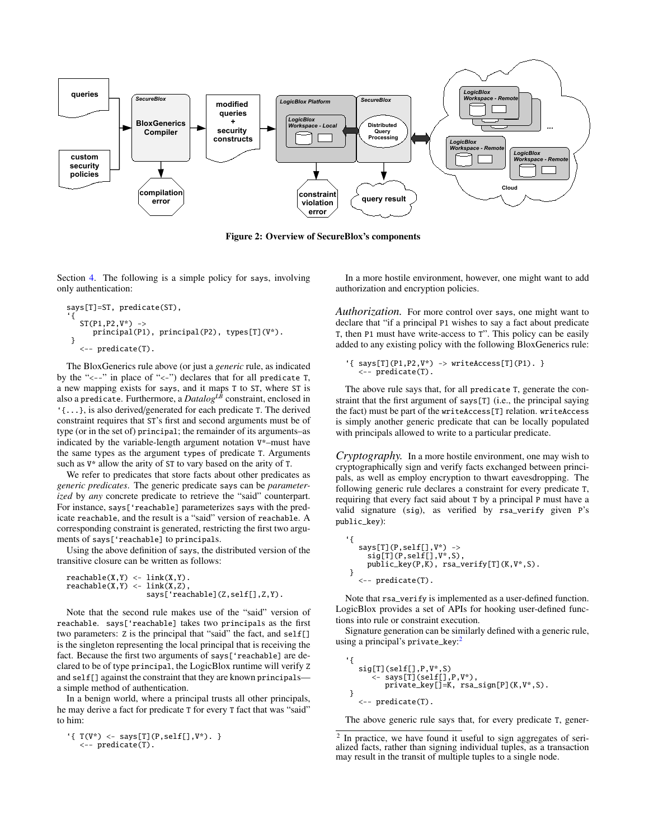

<span id="page-3-0"></span>Figure 2: Overview of SecureBlox's components

Section [4.](#page-4-0) The following is a simple policy for says, involving only authentication:

```
says[T]=ST, predicate(ST),
'{
   ST(P1, P2, V^*) ->
      principal(P1), principal(P2), types[T](V*).
}
   <-- predicate(T).
```
The BloxGenerics rule above (or just a *generic* rule, as indicated by the " $<-$ " in place of " $<-$ ") declares that for all predicate T, a new mapping exists for says, and it maps T to ST, where ST is also a predicate. Furthermore, a *DatalogLB* constraint, enclosed in '{...}, is also derived/generated for each predicate T. The derived constraint requires that ST's first and second arguments must be of type (or in the set of) principal; the remainder of its arguments–as indicated by the variable-length argument notation V\*–must have the same types as the argument types of predicate T. Arguments such as V\* allow the arity of ST to vary based on the arity of T.

We refer to predicates that store facts about other predicates as *generic predicates*. The generic predicate says can be *parameterized* by *any* concrete predicate to retrieve the "said" counterpart. For instance, says['reachable] parameterizes says with the predicate reachable, and the result is a "said" version of reachable. A corresponding constraint is generated, restricting the first two arguments of says['reachable] to principals.

Using the above definition of says, the distributed version of the transitive closure can be written as follows:

```
readale(X,Y) < -1ink(X,Y).
readBle(X,Y) < -\text{link}(X,Z)says['reachable](Z,self[],Z,Y).
```
Note that the second rule makes use of the "said" version of reachable. says['reachable] takes two principals as the first two parameters: Z is the principal that "said" the fact, and self[] is the singleton representing the local principal that is receiving the fact. Because the first two arguments of says['reachable] are declared to be of type principal, the LogicBlox runtime will verify Z and self[] against the constraint that they are known principals a simple method of authentication.

In a benign world, where a principal trusts all other principals, he may derive a fact for predicate T for every T fact that was "said" to him:

```
'{ T(V^*) <- says[T](P,self[],V^*). }
  <-- predicate(T).
```
In a more hostile environment, however, one might want to add authorization and encryption policies.

<span id="page-3-2"></span>*Authorization.* For more control over says, one might want to declare that "if a principal P1 wishes to say a fact about predicate T, then P1 must have write-access to T". This policy can be easily added to any existing policy with the following BloxGenerics rule:

```
'\{ says[T](P1, P2, V^*) \rightarrow writeAccess[T](P1). \}<-- predicate(T).
```
The above rule says that, for all predicate T, generate the constraint that the first argument of says[T] (i.e., the principal saying the fact) must be part of the writeAccess[T] relation. writeAccess is simply another generic predicate that can be locally populated with principals allowed to write to a particular predicate.

*Cryptography.* In a more hostile environment, one may wish to cryptographically sign and verify facts exchanged between principals, as well as employ encryption to thwart eavesdropping. The following generic rule declares a constraint for every predicate T, requiring that every fact said about T by a principal P must have a valid signature (sig), as verified by rsa\_verify given P's public\_key):

'{ says[T](P,self[],V\*) -> sig[T](P,self[],V\*,S), public\_key(P,K), rsa\_verify[T](K,V\*,S). } <-- predicate(T).

Note that rsa\_verify is implemented as a user-defined function. LogicBlox provides a set of APIs for hooking user-defined functions into rule or constraint execution.

Signature generation can be similarly defined with a generic rule, using a principal's private\_key: [2](#page-3-1)

'{ sig[T](self[],P,V\*,S) <- says[T](self[],P,V\*), private\_key[]=K, rsa\_sign[P](K,V\*,S). } <-- predicate(T).

The above generic rule says that, for every predicate T, gener-

<span id="page-3-1"></span><sup>2</sup> In practice, we have found it useful to sign aggregates of serialized facts, rather than signing individual tuples, as a transaction may result in the transit of multiple tuples to a single node.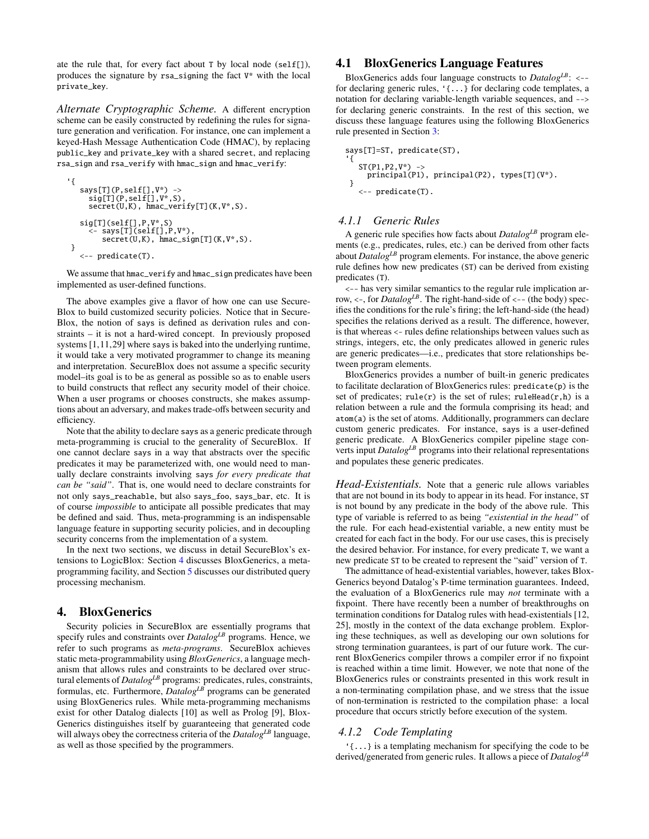ate the rule that, for every fact about T by local node (self[]), produces the signature by rsa\_signing the fact V\* with the local private\_key.

*Alternate Cryptographic Scheme.* A different encryption scheme can be easily constructed by redefining the rules for signature generation and verification. For instance, one can implement a keyed-Hash Message Authentication Code (HMAC), by replacing public\_key and private\_key with a shared secret, and replacing rsa\_sign and rsa\_verify with hmac\_sign and hmac\_verify:

```
'{
   says[T](P, self[], V^*) ->
      sig[T](P,self[],V*,S),
secret(U,K), hmac_verify[T](K,V*,S).
   sig[T](self[],P,V*,S)
      <- says[T](self[],P,V*),
         secret(U,K), hmac_sign[T](K,V*,S).
}
   <-- predicate(T).
```
We assume that hmac\_verify and hmac\_sign predicates have been implemented as user-defined functions.

The above examples give a flavor of how one can use Secure-Blox to build customized security policies. Notice that in Secure-Blox, the notion of says is defined as derivation rules and constraints – it is not a hard-wired concept. In previously proposed systems [1,11,29] where says is baked into the underlying runtime, it would take a very motivated programmer to change its meaning and interpretation. SecureBlox does not assume a specific security model–its goal is to be as general as possible so as to enable users to build constructs that reflect any security model of their choice. When a user programs or chooses constructs, she makes assumptions about an adversary, and makes trade-offs between security and efficiency.

Note that the ability to declare says as a generic predicate through meta-programming is crucial to the generality of SecureBlox. If one cannot declare says in a way that abstracts over the specific predicates it may be parameterized with, one would need to manually declare constraints involving says *for every predicate that can be "said"*. That is, one would need to declare constraints for not only says\_reachable, but also says\_foo, says\_bar, etc. It is of course *impossible* to anticipate all possible predicates that may be defined and said. Thus, meta-programming is an indispensable language feature in supporting security policies, and in decoupling security concerns from the implementation of a system.

In the next two sections, we discuss in detail SecureBlox's extensions to LogicBlox: Section [4](#page-4-0) discusses BloxGenerics, a metaprogramming facility, and Section [5](#page-5-0) discusses our distributed query processing mechanism.

## <span id="page-4-0"></span>4. BloxGenerics

Security policies in SecureBlox are essentially programs that specify rules and constraints over *DatalogLB* programs. Hence, we refer to such programs as *meta-programs*. SecureBlox achieves static meta-programmability using *BloxGenerics*, a language mechanism that allows rules and constraints to be declared over structural elements of *DatalogLB* programs: predicates, rules, constraints, formulas, etc. Furthermore, *DatalogLB* programs can be generated using BloxGenerics rules. While meta-programming mechanisms exist for other Datalog dialects [10] as well as Prolog [9], Blox-Generics distinguishes itself by guaranteeing that generated code will always obey the correctness criteria of the *DatalogLB* language, as well as those specified by the programmers.

## 4.1 BloxGenerics Language Features

BloxGenerics adds four language constructs to *DatalogLB*: <- for declaring generic rules, '{...} for declaring code templates, a notation for declaring variable-length variable sequences, and --> for declaring generic constraints. In the rest of this section, we discuss these language features using the following BloxGenerics rule presented in Section [3:](#page-2-1)

says[T]=ST, predicate(ST), '{ ST(P1,P2,V\*) -> principal(P1), principal(P2), types[T](V\*). } <-- predicate(T).

#### *4.1.1 Generic Rules*

A generic rule specifies how facts about *DatalogLB* program elements (e.g., predicates, rules, etc.) can be derived from other facts about *DatalogLB* program elements. For instance, the above generic rule defines how new predicates (ST) can be derived from existing predicates (T).

<-- has very similar semantics to the regular rule implication arrow,  $\langle -$ , for *Datalog*<sup>LB</sup>. The right-hand-side of  $\langle -$ - (the body) specifies the conditions for the rule's firing; the left-hand-side (the head) specifies the relations derived as a result. The difference, however, is that whereas <- rules define relationships between values such as strings, integers, etc, the only predicates allowed in generic rules are generic predicates—i.e., predicates that store relationships between program elements.

BloxGenerics provides a number of built-in generic predicates to facilitate declaration of BloxGenerics rules: predicate(p) is the set of predicates;  $rule(r)$  is the set of rules;  $ruleRed(r,h)$  is a relation between a rule and the formula comprising its head; and atom(a) is the set of atoms. Additionally, programmers can declare custom generic predicates. For instance, says is a user-defined generic predicate. A BloxGenerics compiler pipeline stage converts input *DatalogLB* programs into their relational representations and populates these generic predicates.

*Head-Existentials.* Note that a generic rule allows variables that are not bound in its body to appear in its head. For instance, ST is not bound by any predicate in the body of the above rule. This type of variable is referred to as being *"existential in the head"* of the rule. For each head-existential variable, a new entity must be created for each fact in the body. For our use cases, this is precisely the desired behavior. For instance, for every predicate T, we want a new predicate ST to be created to represent the "said" version of T.

The admittance of head-existential variables, however, takes Blox-Generics beyond Datalog's P-time termination guarantees. Indeed, the evaluation of a BloxGenerics rule may *not* terminate with a fixpoint. There have recently been a number of breakthroughs on termination conditions for Datalog rules with head-existentials [12, 25], mostly in the context of the data exchange problem. Exploring these techniques, as well as developing our own solutions for strong termination guarantees, is part of our future work. The current BloxGenerics compiler throws a compiler error if no fixpoint is reached within a time limit. However, we note that none of the BloxGenerics rules or constraints presented in this work result in a non-terminating compilation phase, and we stress that the issue of non-termination is restricted to the compilation phase: a local procedure that occurs strictly before execution of the system.

#### *4.1.2 Code Templating*

'{...} is a templating mechanism for specifying the code to be derived/generated from generic rules. It allows a piece of *DatalogLB*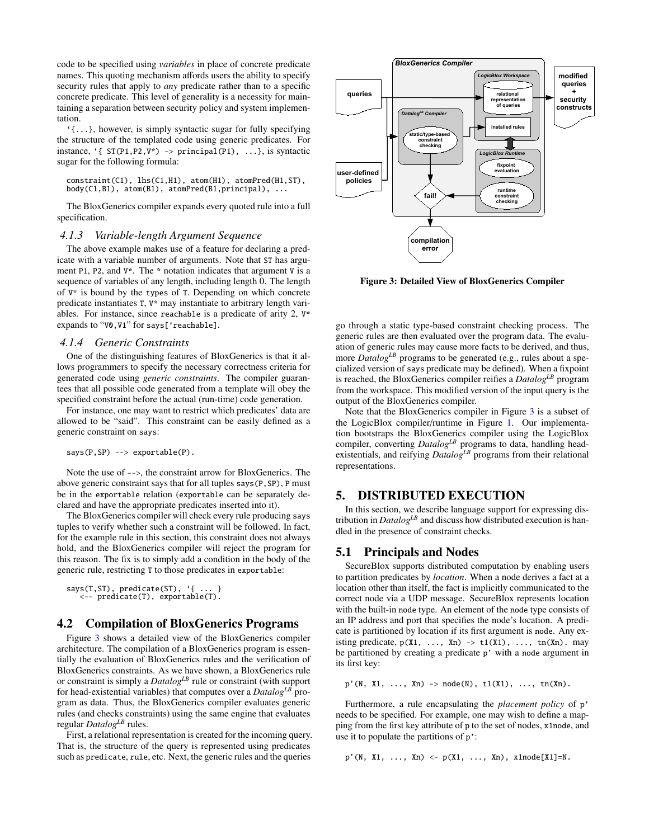code to be specified using *variables* in place of concrete predicate names. This quoting mechanism affords users the ability to specify security rules that apply to *any* predicate rather than to a specific concrete predicate. This level of generality is a necessity for maintaining a separation between security policy and system implementation.

'{...}, however, is simply syntactic sugar for fully specifying the structure of the templated code using generic predicates. For instance, '{  $ST(P1, P2, V^*)$  ->  $principal(P1)$ , ...}, is syntactic sugar for the following formula:

```
constraint(C1), lhs(C1,H1), atom(H1), atomPred(H1,ST),
body(C1,B1), atom(B1), atomPred(B1,principal), ...
```
The BloxGenerics compiler expands every quoted rule into a full specification.

#### *4.1.3 Variable-length Argument Sequence*

The above example makes use of a feature for declaring a predicate with a variable number of arguments. Note that ST has argument P1, P2, and  $V^*$ . The  $*$  notation indicates that argument V is a sequence of variables of any length, including length 0. The length of V\* is bound by the types of T. Depending on which concrete predicate instantiates T, V\* may instantiate to arbitrary length variables. For instance, since reachable is a predicate of arity 2, V\* expands to "V0,V1" for says['reachable].

#### *4.1.4 Generic Constraints*

One of the distinguishing features of BloxGenerics is that it allows programmers to specify the necessary correctness criteria for generated code using *generic constraints*. The compiler guarantees that all possible code generated from a template will obey the specified constraint before the actual (run-time) code generation.

For instance, one may want to restrict which predicates' data are allowed to be "said". This constraint can be easily defined as a generic constraint on says:

```
says(P,SP) --> exportable(P).
```
Note the use of -->, the constraint arrow for BloxGenerics. The above generic constraint says that for all tuples says(P,SP), P must be in the exportable relation (exportable can be separately declared and have the appropriate predicates inserted into it).

The BloxGenerics compiler will check every rule producing says tuples to verify whether such a constraint will be followed. In fact, for the example rule in this section, this constraint does not always hold, and the BloxGenerics compiler will reject the program for this reason. The fix is to simply add a condition in the body of the generic rule, restricting T to those predicates in exportable:

```
says(T,ST), predicate(ST), '{ ... }
   <-- predicate(T), exportable(T).
```
## 4.2 Compilation of BloxGenerics Programs

Figure [3](#page-5-1) shows a detailed view of the BloxGenerics compiler architecture. The compilation of a BloxGenerics program is essentially the evaluation of BloxGenerics rules and the verification of BloxGenerics constraints. As we have shown, a BloxGenerics rule or constraint is simply a *DatalogLB* rule or constraint (with support for head-existential variables) that computes over a *DatalogLB* program as data. Thus, the BloxGenerics compiler evaluates generic rules (and checks constraints) using the same engine that evaluates regular *DatalogLB* rules.

First, a relational representation is created for the incoming query. That is, the structure of the query is represented using predicates such as predicate, rule, etc. Next, the generic rules and the queries



<span id="page-5-1"></span>Figure 3: Detailed View of BloxGenerics Compiler

go through a static type-based constraint checking process. The generic rules are then evaluated over the program data. The evaluation of generic rules may cause more facts to be derived, and thus, more *DatalogLB* programs to be generated (e.g., rules about a specialized version of says predicate may be defined). When a fixpoint is reached, the BloxGenerics compiler reifies a *DatalogLB* program from the workspace. This modified version of the input query is the output of the BloxGenerics compiler.

Note that the BloxGenerics compiler in Figure [3](#page-5-1) is a subset of the LogicBlox compiler/runtime in Figure [1.](#page-1-0) Our implementation bootstraps the BloxGenerics compiler using the LogicBlox compiler, converting *Datalog*<sup>LB</sup> programs to data, handling headexistentials, and reifying *DatalogLB* programs from their relational representations.

## <span id="page-5-0"></span>5. DISTRIBUTED EXECUTION

In this section, we describe language support for expressing distribution in *DatalogLB* and discuss how distributed execution is handled in the presence of constraint checks.

#### 5.1 Principals and Nodes

SecureBlox supports distributed computation by enabling users to partition predicates by *location*. When a node derives a fact at a location other than itself, the fact is implicitly communicated to the correct node via a UDP message. SecureBlox represents location with the built-in node type. An element of the node type consists of an IP address and port that specifies the node's location. A predicate is partitioned by location if its first argument is node. Any existing predicate,  $p(X1, \ldots, Xn) \rightarrow t1(X1), \ldots, t n(Xn)$ . may be partitioned by creating a predicate p' with a node argument in its first key:

 $p'(N, X1, ..., Xn) \rightarrow node(N), t1(X1), ..., tn(Xn).$ 

Furthermore, a rule encapsulating the *placement policy* of p' needs to be specified. For example, one may wish to define a mapping from the first key attribute of p to the set of nodes, x1node, and use it to populate the partitions of p':

 $p'(N, X1, ..., Xn) \leftarrow p(X1, ..., Xn)$ , x1node[X1]=N.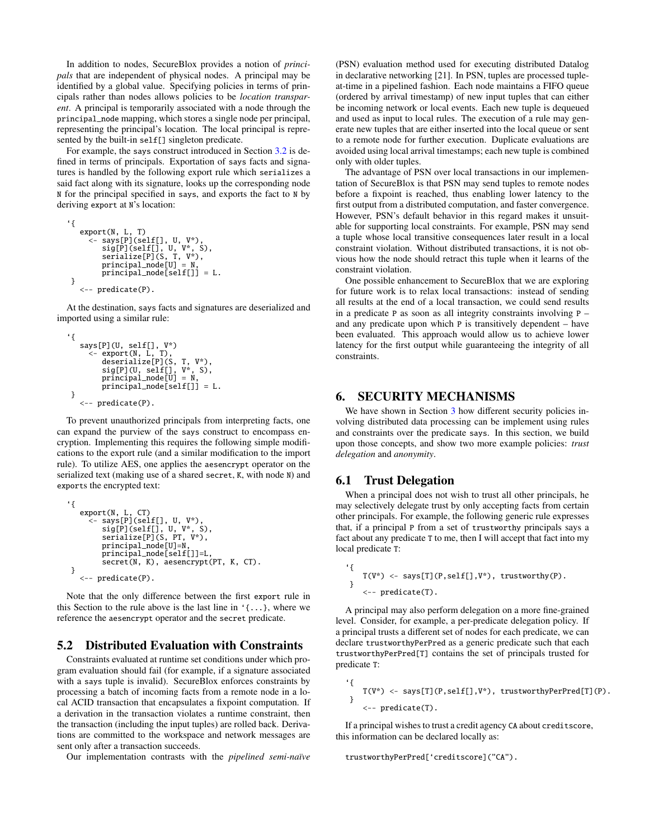In addition to nodes, SecureBlox provides a notion of *principals* that are independent of physical nodes. A principal may be identified by a global value. Specifying policies in terms of principals rather than nodes allows policies to be *location transparent*. A principal is temporarily associated with a node through the principal\_node mapping, which stores a single node per principal, representing the principal's location. The local principal is represented by the built-in self[] singleton predicate.

For example, the says construct introduced in Section [3.2](#page-2-2) is defined in terms of principals. Exportation of says facts and signatures is handled by the following export rule which serializes a said fact along with its signature, looks up the corresponding node N for the principal specified in says, and exports the fact to N by deriving export at N's location:

```
'{
   export(N, L, T)
       <- says[P](self[], U, V*),
sig[P](self[], U, V*, S),
serialize[P](S, T, V*),
          principal_node[U] = N,
           principal_node[self[]] = L.
}
   <-- predicate(P).
```
At the destination, says facts and signatures are deserialized and imported using a similar rule:

```
'{
       says[P](U, self[], V*)<br>
<- export(N, L, T),<br>
deserialize[P](S, T, V*),<br>
sig[P](U, self[], V*, S),<br>
principal_node[U] = N,
                  principle1-node[self[]] = L.}
      <-- predicate(P).
```
To prevent unauthorized principals from interpreting facts, one can expand the purview of the says construct to encompass encryption. Implementing this requires the following simple modifications to the export rule (and a similar modification to the import rule). To utilize AES, one applies the aesencrypt operator on the serialized text (making use of a shared secret, K, with node N) and exports the encrypted text:

```
'{
    export(N, L, CT)
<- says[P](self[], U, V*),
sig[P](self[], U, V*, S),
serialize[P](S, PT, V*),
           principal_node[U]=N,
           principal_node[self[]]=L,
           secret(N, K), aesencrypt(PT, K, CT).
}
   <-- predicate(P).
```
Note that the only difference between the first export rule in this Section to the rule above is the last line in  $\{ \ldots \}$ , where we reference the aesencrypt operator and the secret predicate.

#### <span id="page-6-1"></span>5.2 Distributed Evaluation with Constraints

Constraints evaluated at runtime set conditions under which program evaluation should fail (for example, if a signature associated with a says tuple is invalid). SecureBlox enforces constraints by processing a batch of incoming facts from a remote node in a local ACID transaction that encapsulates a fixpoint computation. If a derivation in the transaction violates a runtime constraint, then the transaction (including the input tuples) are rolled back. Derivations are committed to the workspace and network messages are sent only after a transaction succeeds.

Our implementation contrasts with the *pipelined semi-naïve*

(PSN) evaluation method used for executing distributed Datalog in declarative networking [21]. In PSN, tuples are processed tupleat-time in a pipelined fashion. Each node maintains a FIFO queue (ordered by arrival timestamp) of new input tuples that can either be incoming network or local events. Each new tuple is dequeued and used as input to local rules. The execution of a rule may generate new tuples that are either inserted into the local queue or sent to a remote node for further execution. Duplicate evaluations are avoided using local arrival timestamps; each new tuple is combined only with older tuples.

The advantage of PSN over local transactions in our implementation of SecureBlox is that PSN may send tuples to remote nodes before a fixpoint is reached, thus enabling lower latency to the first output from a distributed computation, and faster convergence. However, PSN's default behavior in this regard makes it unsuitable for supporting local constraints. For example, PSN may send a tuple whose local transitive consequences later result in a local constraint violation. Without distributed transactions, it is not obvious how the node should retract this tuple when it learns of the constraint violation.

One possible enhancement to SecureBlox that we are exploring for future work is to relax local transactions: instead of sending all results at the end of a local transaction, we could send results in a predicate P as soon as all integrity constraints involving  $P$ and any predicate upon which P is transitively dependent – have been evaluated. This approach would allow us to achieve lower latency for the first output while guaranteeing the integrity of all constraints.

## <span id="page-6-0"></span>6. SECURITY MECHANISMS

We have shown in Section [3](#page-2-1) how different security policies involving distributed data processing can be implement using rules and constraints over the predicate says. In this section, we build upon those concepts, and show two more example policies: *trust delegation* and *anonymity*.

## 6.1 Trust Delegation

 $\epsilon$ 

When a principal does not wish to trust all other principals, he may selectively delegate trust by only accepting facts from certain other principals. For example, the following generic rule expresses that, if a principal P from a set of trustworthy principals says a fact about any predicate T to me, then I will accept that fact into my local predicate T:

```
'{
   T(V^*) <- says[T](P,self[],V^*), trustworthy(P).
}
   <-- predicate(T).
```
A principal may also perform delegation on a more fine-grained level. Consider, for example, a per-predicate delegation policy. If a principal trusts a different set of nodes for each predicate, we can declare trustworthyPerPred as a generic predicate such that each trustworthyPerPred[T] contains the set of principals trusted for predicate T:

T(V\*) <- says[T](P,self[],V\*), trustworthyPerPred[T](P). } <-- predicate(T).

If a principal wishes to trust a credit agency CA about creditscore, this information can be declared locally as:

```
trustworthyPerPred['creditscore]("CA").
```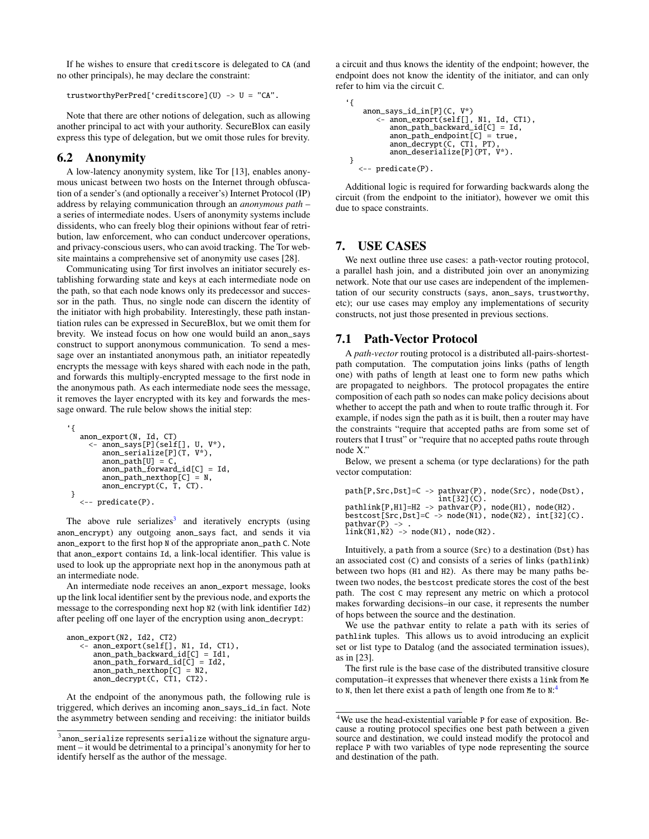If he wishes to ensure that creditscore is delegated to CA (and no other principals), he may declare the constraint:

```
trustworthyPerPred['creditscore](U) -> U = "CA".
```
Note that there are other notions of delegation, such as allowing another principal to act with your authority. SecureBlox can easily express this type of delegation, but we omit those rules for brevity.

# 6.2 Anonymity

A low-latency anonymity system, like Tor [13], enables anonymous unicast between two hosts on the Internet through obfuscation of a sender's (and optionally a receiver's) Internet Protocol (IP) address by relaying communication through an *anonymous path* – a series of intermediate nodes. Users of anonymity systems include dissidents, who can freely blog their opinions without fear of retribution, law enforcement, who can conduct undercover operations, and privacy-conscious users, who can avoid tracking. The Tor website maintains a comprehensive set of anonymity use cases [28].

Communicating using Tor first involves an initiator securely establishing forwarding state and keys at each intermediate node on the path, so that each node knows only its predecessor and successor in the path. Thus, no single node can discern the identity of the initiator with high probability. Interestingly, these path instantiation rules can be expressed in SecureBlox, but we omit them for brevity. We instead focus on how one would build an anon\_says construct to support anonymous communication. To send a message over an instantiated anonymous path, an initiator repeatedly encrypts the message with keys shared with each node in the path, and forwards this multiply-encrypted message to the first node in the anonymous path. As each intermediate node sees the message, it removes the layer encrypted with its key and forwards the message onward. The rule below shows the initial step:

```
'{
  anon_export(N, Id, CT)
     \leftarrow anon_says[P](self[], U, V*),
        anon_serialize[P](T, V*),
        anon\_path[U] = C,
        anon_path_forward_id[C] = Id,
        anon\_path\_nexthop[C] = N,
        anon_encrypt(C, T, CT).
}
  <-- predicate(P).
```
The above rule serializes<sup>[3](#page-7-1)</sup> and iteratively encrypts (using anon\_encrypt) any outgoing anon\_says fact, and sends it via anon\_export to the first hop N of the appropriate anon\_path C. Note that anon\_export contains Id, a link-local identifier. This value is used to look up the appropriate next hop in the anonymous path at an intermediate node.

An intermediate node receives an anon\_export message, looks up the link local identifier sent by the previous node, and exports the message to the corresponding next hop N2 (with link identifier Id2) after peeling off one layer of the encryption using anon\_decrypt:

```
anon_export(N2, Id2, CT2)
   <- anon_export(self[], N1, Id, CT1),
      anon_path_backward_id[C] = Id1,
      anonpath forward_id[\bar{C}] = Id2,
      anon\_path\_nexthop[C] = N2,
      anon_decrypt(C, CT1, CT2).
```
At the endpoint of the anonymous path, the following rule is triggered, which derives an incoming anon\_says\_id\_in fact. Note the asymmetry between sending and receiving: the initiator builds

a circuit and thus knows the identity of the endpoint; however, the endpoint does not know the identity of the initiator, and can only refer to him via the circuit C.

```
'{
    anon_says_id_in[P](C, V*)
        <- anon_export(self[], N1, Id, CT1),
anon_path_backward_id[C] = Id,
           anon\_path\_endpoint[C] = true,anon_decrypt(C, CT1, PT)
           anon_deserialize[P](PT, V*).
}
   <-- predicate(P).
```
Additional logic is required for forwarding backwards along the circuit (from the endpoint to the initiator), however we omit this due to space constraints.

# <span id="page-7-0"></span>7. USE CASES

We next outline three use cases: a path-vector routing protocol, a parallel hash join, and a distributed join over an anonymizing network. Note that our use cases are independent of the implementation of our security constructs (says, anon\_says, trustworthy, etc); our use cases may employ any implementations of security constructs, not just those presented in previous sections.

# 7.1 Path-Vector Protocol

A *path-vector* routing protocol is a distributed all-pairs-shortestpath computation. The computation joins links (paths of length one) with paths of length at least one to form new paths which are propagated to neighbors. The protocol propagates the entire composition of each path so nodes can make policy decisions about whether to accept the path and when to route traffic through it. For example, if nodes sign the path as it is built, then a router may have the constraints "require that accepted paths are from some set of routers that I trust" or "require that no accepted paths route through node X."

Below, we present a schema (or type declarations) for the path vector computation:

```
path[P,Src,Dst]=C -> pathvar(P), node(Src), node(Dst),
                              int[32](C).
pathlink[P,H1]=H2 -> pathvar(P), node(H1), node(H2).
bestcost[Src,Dst]=C -> node(N1), node(N2), int[32](C).
pathvar(P) -> .
link(N1,N2) -> node(N1), node(N2).
```
Intuitively, a path from a source (Src) to a destination (Dst) has an associated cost (C) and consists of a series of links (pathlink) between two hops (H1 and H2). As there may be many paths between two nodes, the bestcost predicate stores the cost of the best path. The cost C may represent any metric on which a protocol makes forwarding decisions–in our case, it represents the number of hops between the source and the destination.

We use the pathvar entity to relate a path with its series of pathlink tuples. This allows us to avoid introducing an explicit set or list type to Datalog (and the associated termination issues), as in [23].

The first rule is the base case of the distributed transitive closure computation–it expresses that whenever there exists a link from Me to N, then let there exist a path of length one from Me to  $N$ :

<span id="page-7-1"></span> $3$ anon\_serialize represents serialize without the signature argument – it would be detrimental to a principal's anonymity for her to identify herself as the author of the message.

<span id="page-7-2"></span><sup>4</sup>We use the head-existential variable P for ease of exposition. Because a routing protocol specifies one best path between a given source and destination, we could instead modify the protocol and replace P with two variables of type node representing the source and destination of the path.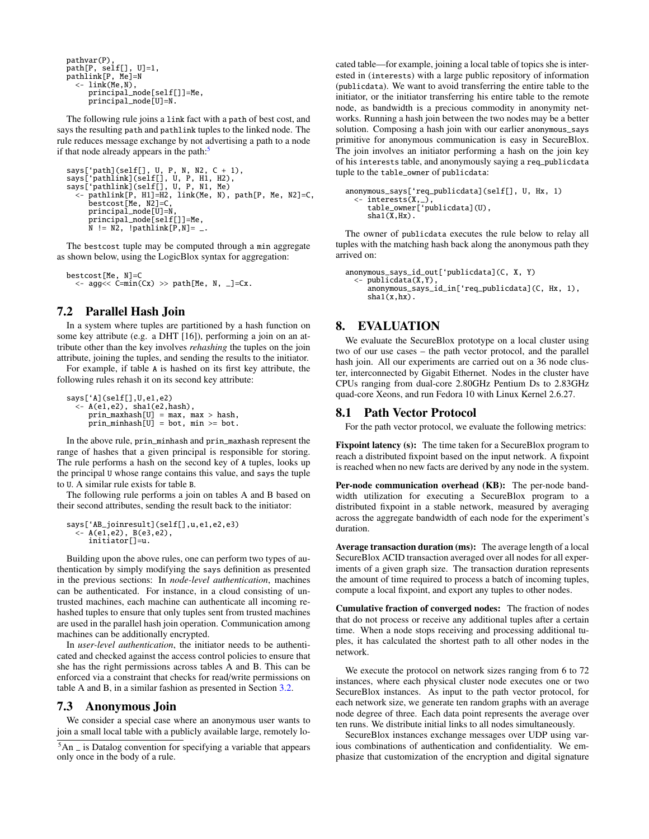```
pathvar(P),
path[P, self[], U]=1,
pathlink[P, Me]=N
  <- link(Me,N),
     principal_node[self[]]=Me,
     principal_node[U]=N.
```
The following rule joins a link fact with a path of best cost, and says the resulting path and pathlink tuples to the linked node. The rule reduces message exchange by not advertising a path to a node if that node already appears in the path:<sup>[5](#page-8-0)</sup>

```
says['path](self[], U, P, N, N2, C + 1),
says['pathlink](self[], U, P, H1, H2),
says['pathlink](self[], U, P, N1, Me)
       pathlink[P, H1]=H2, link(Me, N), path[P, Me, N2]=C,
       bestcost[Me, N2]=C,
       principal_node[U]=N,
        principal_node[self[]]=Me,
N != N2, !pathlink[P,N]= _.
```
The bestcost tuple may be computed through a min aggregate as shown below, using the LogicBlox syntax for aggregation:

```
bestcost[Me, N]=C
<- agg<< C=min(Cx) >> path[Me, N, _]=Cx.
```
## 7.2 Parallel Hash Join

In a system where tuples are partitioned by a hash function on some key attribute (e.g. a DHT [16]), performing a join on an attribute other than the key involves *rehashing* the tuples on the join attribute, joining the tuples, and sending the results to the initiator.

For example, if table A is hashed on its first key attribute, the following rules rehash it on its second key attribute:

```
says['A](self[],U,e1,e2)
  \leftarrow A(e1.e2), sha1(e2.hash).
     prin_maxhash[U] = max, max > hash,prin_minhash[U] = bot, min >= bot.
```
In the above rule, prin\_minhash and prin\_maxhash represent the range of hashes that a given principal is responsible for storing. The rule performs a hash on the second key of A tuples, looks up the principal U whose range contains this value, and says the tuple to U. A similar rule exists for table B.

The following rule performs a join on tables A and B based on their second attributes, sending the result back to the initiator:

```
says['AB_joinresult](self[],u,e1,e2,e3)
  <- A(e1,e2), B(e3,e2),
    initiator[]=u.
```
Building upon the above rules, one can perform two types of authentication by simply modifying the says definition as presented in the previous sections: In *node-level authentication*, machines can be authenticated. For instance, in a cloud consisting of untrusted machines, each machine can authenticate all incoming rehashed tuples to ensure that only tuples sent from trusted machines are used in the parallel hash join operation. Communication among machines can be additionally encrypted.

In *user-level authentication*, the initiator needs to be authenticated and checked against the access control policies to ensure that she has the right permissions across tables A and B. This can be enforced via a constraint that checks for read/write permissions on table A and B, in a similar fashion as presented in Section [3.2.](#page-3-2)

#### 7.3 Anonymous Join

We consider a special case where an anonymous user wants to join a small local table with a publicly available large, remotely located table—for example, joining a local table of topics she is interested in (interests) with a large public repository of information (publicdata). We want to avoid transferring the entire table to the initiator, or the initiator transferring his entire table to the remote node, as bandwidth is a precious commodity in anonymity networks. Running a hash join between the two nodes may be a better solution. Composing a hash join with our earlier anonymous\_says primitive for anonymous communication is easy in SecureBlox. The join involves an initiator performing a hash on the join key of his interests table, and anonymously saying a req\_publicdata tuple to the table\_owner of publicdata:

```
anonymous_says['req_publicdata](self[], U, Hx, 1)
 <- interests(X,_),
    table_owner['publicdata](U),
     sha1(X,Hx).
```
The owner of publicdata executes the rule below to relay all tuples with the matching hash back along the anonymous path they arrived on:

```
anonymous_says_id_out['publicdata](C, X, Y)
  <- publicdata(X,Y),
     anonymous_says_id_in['req_publicdata](C, Hx, 1),
     sha1(x,hx).
```
# 8. EVALUATION

We evaluate the SecureBlox prototype on a local cluster using two of our use cases – the path vector protocol, and the parallel hash join. All our experiments are carried out on a 36 node cluster, interconnected by Gigabit Ethernet. Nodes in the cluster have CPUs ranging from dual-core 2.80GHz Pentium Ds to 2.83GHz quad-core Xeons, and run Fedora 10 with Linux Kernel 2.6.27.

#### 8.1 Path Vector Protocol

For the path vector protocol, we evaluate the following metrics:

Fixpoint latency (s): The time taken for a SecureBlox program to reach a distributed fixpoint based on the input network. A fixpoint is reached when no new facts are derived by any node in the system.

Per-node communication overhead (KB): The per-node bandwidth utilization for executing a SecureBlox program to a distributed fixpoint in a stable network, measured by averaging across the aggregate bandwidth of each node for the experiment's duration.

Average transaction duration (ms): The average length of a local SecureBlox ACID transaction averaged over all nodes for all experiments of a given graph size. The transaction duration represents the amount of time required to process a batch of incoming tuples, compute a local fixpoint, and export any tuples to other nodes.

Cumulative fraction of converged nodes: The fraction of nodes that do not process or receive any additional tuples after a certain time. When a node stops receiving and processing additional tuples, it has calculated the shortest path to all other nodes in the network.

We execute the protocol on network sizes ranging from 6 to 72 instances, where each physical cluster node executes one or two SecureBlox instances. As input to the path vector protocol, for each network size, we generate ten random graphs with an average node degree of three. Each data point represents the average over ten runs. We distribute initial links to all nodes simultaneously.

SecureBlox instances exchange messages over UDP using various combinations of authentication and confidentiality. We emphasize that customization of the encryption and digital signature

<span id="page-8-0"></span> $5An$  is Datalog convention for specifying a variable that appears only once in the body of a rule.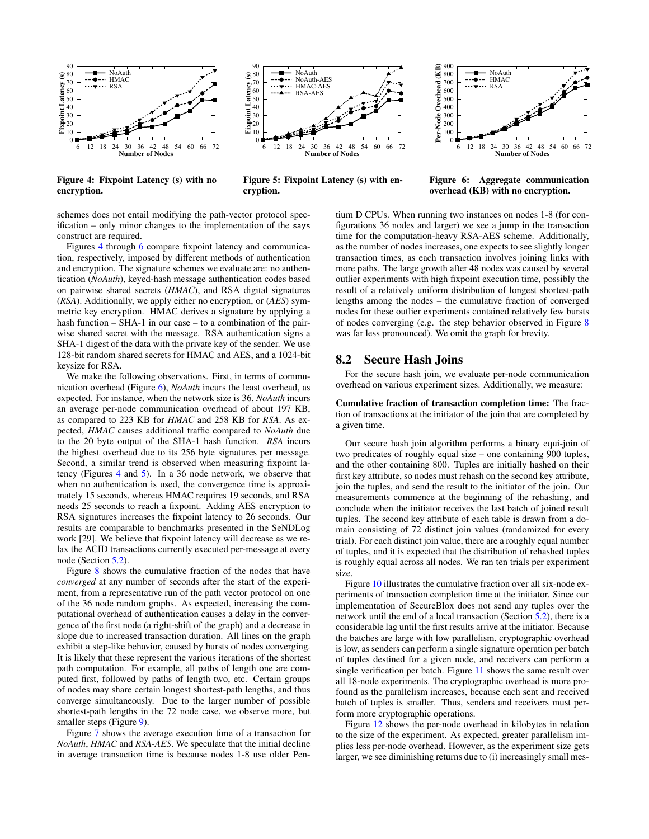

<span id="page-9-0"></span>Figure 4: Fixpoint Latency (s) with no encryption.



<span id="page-9-2"></span>Figure 5: Fixpoint Latency (s) with encryption.

schemes does not entail modifying the path-vector protocol specification – only minor changes to the implementation of the says construct are required.

Figures [4](#page-9-0) through [6](#page-9-1) compare fixpoint latency and communication, respectively, imposed by different methods of authentication and encryption. The signature schemes we evaluate are: no authentication (*NoAuth*), keyed-hash message authentication codes based on pairwise shared secrets (*HMAC*), and RSA digital signatures (*RSA*). Additionally, we apply either no encryption, or (*AES*) symmetric key encryption. HMAC derives a signature by applying a hash function – SHA-1 in our case – to a combination of the pairwise shared secret with the message. RSA authentication signs a SHA-1 digest of the data with the private key of the sender. We use 128-bit random shared secrets for HMAC and AES, and a 1024-bit keysize for RSA.

We make the following observations. First, in terms of communication overhead (Figure [6\)](#page-9-1), *NoAuth* incurs the least overhead, as expected. For instance, when the network size is 36, *NoAuth* incurs an average per-node communication overhead of about 197 KB, as compared to 223 KB for *HMAC* and 258 KB for *RSA*. As expected, *HMAC* causes additional traffic compared to *NoAuth* due to the 20 byte output of the SHA-1 hash function. *RSA* incurs the highest overhead due to its 256 byte signatures per message. Second, a similar trend is observed when measuring fixpoint latency (Figures [4](#page-9-0) and [5\)](#page-9-2). In a 36 node network, we observe that when no authentication is used, the convergence time is approximately 15 seconds, whereas HMAC requires 19 seconds, and RSA needs 25 seconds to reach a fixpoint. Adding AES encryption to RSA signatures increases the fixpoint latency to 26 seconds. Our results are comparable to benchmarks presented in the SeNDLog work [29]. We believe that fixpoint latency will decrease as we relax the ACID transactions currently executed per-message at every node (Section [5.2\)](#page-6-1).

Figure [8](#page-10-0) shows the cumulative fraction of the nodes that have *converged* at any number of seconds after the start of the experiment, from a representative run of the path vector protocol on one of the 36 node random graphs. As expected, increasing the computational overhead of authentication causes a delay in the convergence of the first node (a right-shift of the graph) and a decrease in slope due to increased transaction duration. All lines on the graph exhibit a step-like behavior, caused by bursts of nodes converging. It is likely that these represent the various iterations of the shortest path computation. For example, all paths of length one are computed first, followed by paths of length two, etc. Certain groups of nodes may share certain longest shortest-path lengths, and thus converge simultaneously. Due to the larger number of possible shortest-path lengths in the 72 node case, we observe more, but smaller steps (Figure [9\)](#page-10-1).

Figure [7](#page-10-2) shows the average execution time of a transaction for *NoAuth*, *HMAC* and *RSA-AES*. We speculate that the initial decline in average transaction time is because nodes 1-8 use older Pen-



<span id="page-9-1"></span>Figure 6: Aggregate communication overhead (KB) with no encryption.

tium D CPUs. When running two instances on nodes 1-8 (for configurations 36 nodes and larger) we see a jump in the transaction time for the computation-heavy RSA-AES scheme. Additionally, as the number of nodes increases, one expects to see slightly longer transaction times, as each transaction involves joining links with more paths. The large growth after 48 nodes was caused by several outlier experiments with high fixpoint execution time, possibly the result of a relatively uniform distribution of longest shortest-path lengths among the nodes – the cumulative fraction of converged nodes for these outlier experiments contained relatively few bursts of nodes converging (e.g. the step behavior observed in Figure [8](#page-10-0) was far less pronounced). We omit the graph for brevity.

#### 8.2 Secure Hash Joins

For the secure hash join, we evaluate per-node communication overhead on various experiment sizes. Additionally, we measure:

Cumulative fraction of transaction completion time: The fraction of transactions at the initiator of the join that are completed by a given time.

Our secure hash join algorithm performs a binary equi-join of two predicates of roughly equal size – one containing 900 tuples, and the other containing 800. Tuples are initially hashed on their first key attribute, so nodes must rehash on the second key attribute, join the tuples, and send the result to the initiator of the join. Our measurements commence at the beginning of the rehashing, and conclude when the initiator receives the last batch of joined result tuples. The second key attribute of each table is drawn from a domain consisting of 72 distinct join values (randomized for every trial). For each distinct join value, there are a roughly equal number of tuples, and it is expected that the distribution of rehashed tuples is roughly equal across all nodes. We ran ten trials per experiment size.

Figure [10](#page-10-3) illustrates the cumulative fraction over all six-node experiments of transaction completion time at the initiator. Since our implementation of SecureBlox does not send any tuples over the network until the end of a local transaction (Section [5.2\)](#page-6-1), there is a considerable lag until the first results arrive at the initiator. Because the batches are large with low parallelism, cryptographic overhead is low, as senders can perform a single signature operation per batch of tuples destined for a given node, and receivers can perform a single verification per batch. Figure [11](#page-10-4) shows the same result over all 18-node experiments. The cryptographic overhead is more profound as the parallelism increases, because each sent and received batch of tuples is smaller. Thus, senders and receivers must perform more cryptographic operations.

Figure [12](#page-10-5) shows the per-node overhead in kilobytes in relation to the size of the experiment. As expected, greater parallelism implies less per-node overhead. However, as the experiment size gets larger, we see diminishing returns due to (i) increasingly small mes-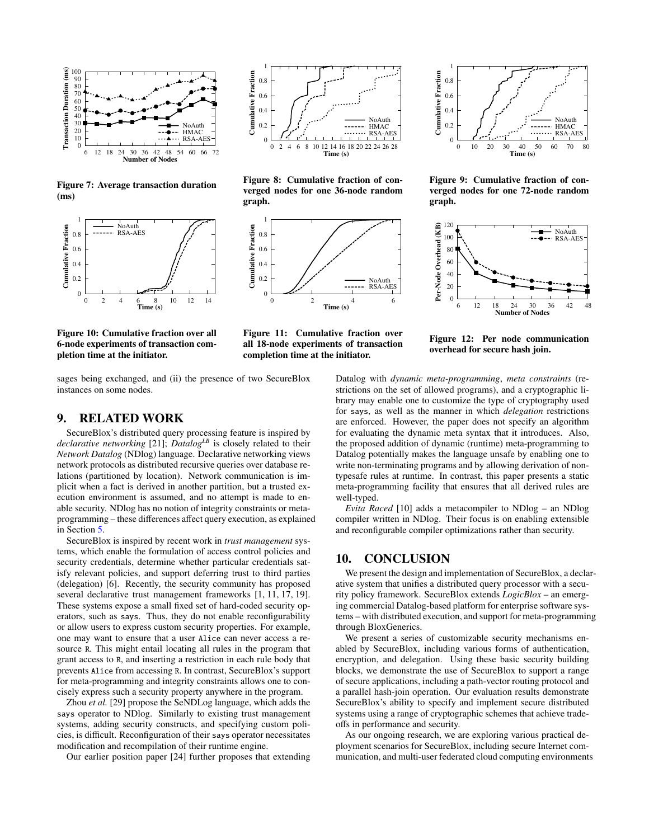

<span id="page-10-2"></span>Figure 7: Average transaction duration (ms)



<span id="page-10-3"></span>Figure 10: Cumulative fraction over all 6-node experiments of transaction completion time at the initiator.

sages being exchanged, and (ii) the presence of two SecureBlox instances on some nodes.

# 9. RELATED WORK

SecureBlox's distributed query processing feature is inspired by *declarative networking* [21]; *DatalogLB* is closely related to their *Network Datalog* (NDlog) language. Declarative networking views network protocols as distributed recursive queries over database relations (partitioned by location). Network communication is implicit when a fact is derived in another partition, but a trusted execution environment is assumed, and no attempt is made to enable security. NDlog has no notion of integrity constraints or metaprogramming – these differences affect query execution, as explained in Section [5.](#page-5-0)

SecureBlox is inspired by recent work in *trust management* systems, which enable the formulation of access control policies and security credentials, determine whether particular credentials satisfy relevant policies, and support deferring trust to third parties (delegation) [6]. Recently, the security community has proposed several declarative trust management frameworks [1, 11, 17, 19]. These systems expose a small fixed set of hard-coded security operators, such as says. Thus, they do not enable reconfigurability or allow users to express custom security properties. For example, one may want to ensure that a user Alice can never access a resource R. This might entail locating all rules in the program that grant access to R, and inserting a restriction in each rule body that prevents Alice from accessing R. In contrast, SecureBlox's support for meta-programming and integrity constraints allows one to concisely express such a security property anywhere in the program.

Zhou *et al.* [29] propose the SeNDLog language, which adds the says operator to NDlog. Similarly to existing trust management systems, adding security constructs, and specifying custom policies, is difficult. Reconfiguration of their says operator necessitates modification and recompilation of their runtime engine.

Our earlier position paper [24] further proposes that extending



<span id="page-10-0"></span>Figure 8: Cumulative fraction of converged nodes for one 36-node random graph.



<span id="page-10-4"></span>Figure 11: Cumulative fraction over all 18-node experiments of transaction completion time at the initiator.



<span id="page-10-1"></span>Figure 9: Cumulative fraction of converged nodes for one 72-node random graph.



<span id="page-10-5"></span>Figure 12: Per node communication overhead for secure hash join.

Datalog with *dynamic meta-programming*, *meta constraints* (restrictions on the set of allowed programs), and a cryptographic library may enable one to customize the type of cryptography used for says, as well as the manner in which *delegation* restrictions are enforced. However, the paper does not specify an algorithm for evaluating the dynamic meta syntax that it introduces. Also, the proposed addition of dynamic (runtime) meta-programming to Datalog potentially makes the language unsafe by enabling one to write non-terminating programs and by allowing derivation of nontypesafe rules at runtime. In contrast, this paper presents a static meta-programming facility that ensures that all derived rules are well-typed.

*Evita Raced* [10] adds a metacompiler to NDlog – an NDlog compiler written in NDlog. Their focus is on enabling extensible and reconfigurable compiler optimizations rather than security.

## 10. CONCLUSION

We present the design and implementation of SecureBlox, a declarative system that unifies a distributed query processor with a security policy framework. SecureBlox extends *LogicBlox* – an emerging commercial Datalog-based platform for enterprise software systems – with distributed execution, and support for meta-programming through BloxGenerics.

We present a series of customizable security mechanisms enabled by SecureBlox, including various forms of authentication, encryption, and delegation. Using these basic security building blocks, we demonstrate the use of SecureBlox to support a range of secure applications, including a path-vector routing protocol and a parallel hash-join operation. Our evaluation results demonstrate SecureBlox's ability to specify and implement secure distributed systems using a range of cryptographic schemes that achieve tradeoffs in performance and security.

As our ongoing research, we are exploring various practical deployment scenarios for SecureBlox, including secure Internet communication, and multi-user federated cloud computing environments